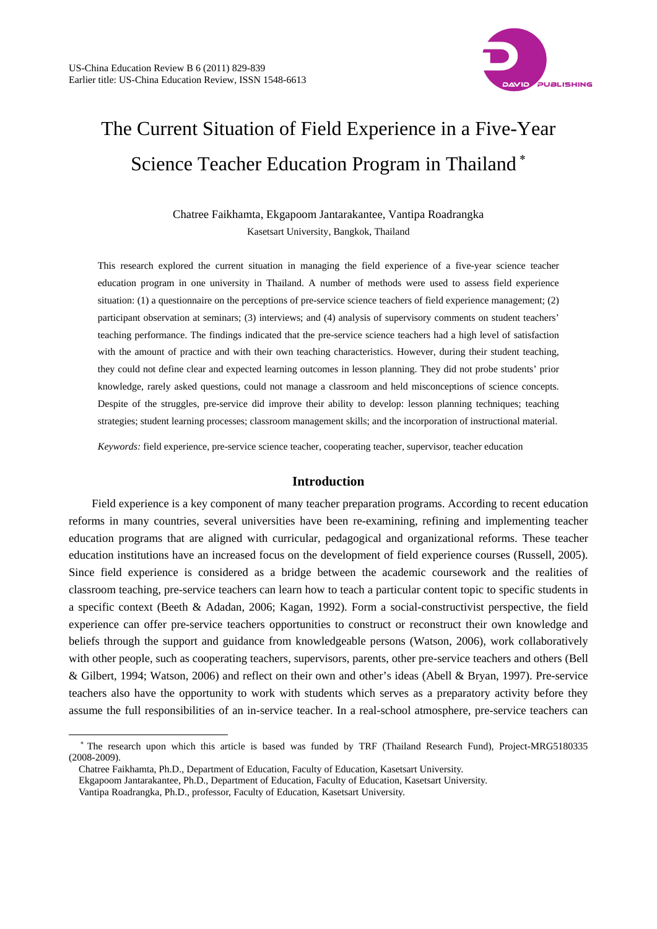

# The Current Situation of Field Experience in a Five-Year Science Teacher Education Program in Thailand<sup>∗</sup>

Chatree Faikhamta, Ekgapoom Jantarakantee, Vantipa Roadrangka Kasetsart University, Bangkok, Thailand

This research explored the current situation in managing the field experience of a five-year science teacher education program in one university in Thailand. A number of methods were used to assess field experience situation: (1) a questionnaire on the perceptions of pre-service science teachers of field experience management; (2) participant observation at seminars; (3) interviews; and (4) analysis of supervisory comments on student teachers' teaching performance. The findings indicated that the pre-service science teachers had a high level of satisfaction with the amount of practice and with their own teaching characteristics. However, during their student teaching, they could not define clear and expected learning outcomes in lesson planning. They did not probe students' prior knowledge, rarely asked questions, could not manage a classroom and held misconceptions of science concepts. Despite of the struggles, pre-service did improve their ability to develop: lesson planning techniques; teaching strategies; student learning processes; classroom management skills; and the incorporation of instructional material.

*Keywords:* field experience, pre-service science teacher, cooperating teacher, supervisor, teacher education

# **Introduction**

Field experience is a key component of many teacher preparation programs. According to recent education reforms in many countries, several universities have been re-examining, refining and implementing teacher education programs that are aligned with curricular, pedagogical and organizational reforms. These teacher education institutions have an increased focus on the development of field experience courses (Russell, 2005). Since field experience is considered as a bridge between the academic coursework and the realities of classroom teaching, pre-service teachers can learn how to teach a particular content topic to specific students in a specific context (Beeth & Adadan, 2006; Kagan, 1992). Form a social-constructivist perspective, the field experience can offer pre-service teachers opportunities to construct or reconstruct their own knowledge and beliefs through the support and guidance from knowledgeable persons (Watson, 2006), work collaboratively with other people, such as cooperating teachers, supervisors, parents, other pre-service teachers and others (Bell & Gilbert, 1994; Watson, 2006) and reflect on their own and other's ideas (Abell & Bryan, 1997). Pre-service teachers also have the opportunity to work with students which serves as a preparatory activity before they assume the full responsibilities of an in-service teacher. In a real-school atmosphere, pre-service teachers can

 $\overline{a}$ 

<sup>∗</sup> The research upon which this article is based was funded by TRF (Thailand Research Fund), Project-MRG5180335 (2008-2009).

Chatree Faikhamta, Ph.D., Department of Education, Faculty of Education, Kasetsart University.

Ekgapoom Jantarakantee, Ph.D., Department of Education, Faculty of Education, Kasetsart University.

Vantipa Roadrangka, Ph.D., professor, Faculty of Education, Kasetsart University.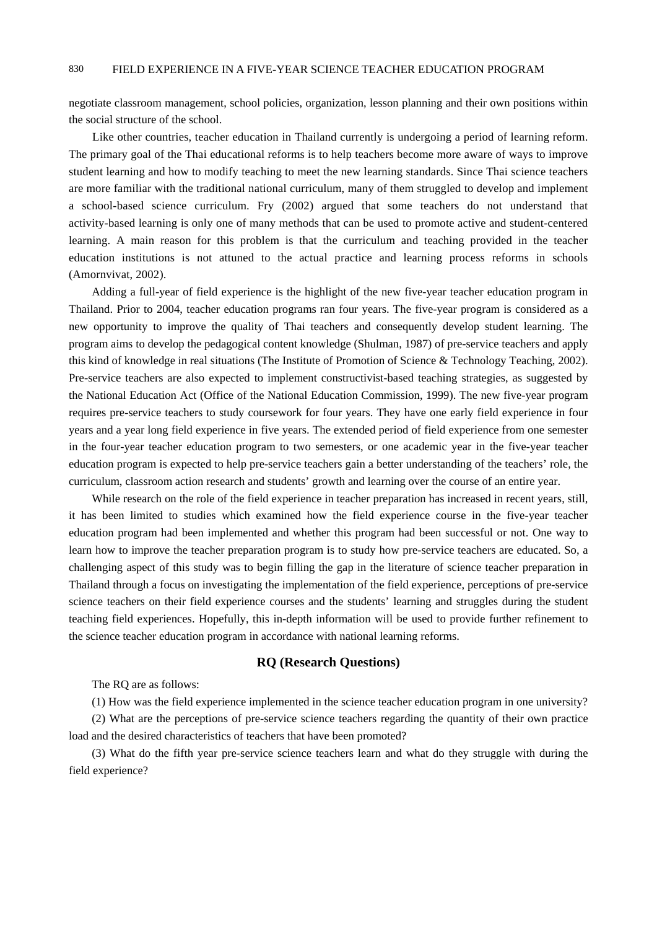negotiate classroom management, school policies, organization, lesson planning and their own positions within the social structure of the school.

Like other countries, teacher education in Thailand currently is undergoing a period of learning reform. The primary goal of the Thai educational reforms is to help teachers become more aware of ways to improve student learning and how to modify teaching to meet the new learning standards. Since Thai science teachers are more familiar with the traditional national curriculum, many of them struggled to develop and implement a school-based science curriculum. Fry (2002) argued that some teachers do not understand that activity-based learning is only one of many methods that can be used to promote active and student-centered learning. A main reason for this problem is that the curriculum and teaching provided in the teacher education institutions is not attuned to the actual practice and learning process reforms in schools (Amornvivat, 2002).

Adding a full-year of field experience is the highlight of the new five-year teacher education program in Thailand. Prior to 2004, teacher education programs ran four years. The five-year program is considered as a new opportunity to improve the quality of Thai teachers and consequently develop student learning. The program aims to develop the pedagogical content knowledge (Shulman, 1987) of pre-service teachers and apply this kind of knowledge in real situations (The Institute of Promotion of Science & Technology Teaching, 2002). Pre-service teachers are also expected to implement constructivist-based teaching strategies, as suggested by the National Education Act (Office of the National Education Commission, 1999). The new five-year program requires pre-service teachers to study coursework for four years. They have one early field experience in four years and a year long field experience in five years. The extended period of field experience from one semester in the four-year teacher education program to two semesters, or one academic year in the five-year teacher education program is expected to help pre-service teachers gain a better understanding of the teachers' role, the curriculum, classroom action research and students' growth and learning over the course of an entire year.

While research on the role of the field experience in teacher preparation has increased in recent years, still, it has been limited to studies which examined how the field experience course in the five-year teacher education program had been implemented and whether this program had been successful or not. One way to learn how to improve the teacher preparation program is to study how pre-service teachers are educated. So, a challenging aspect of this study was to begin filling the gap in the literature of science teacher preparation in Thailand through a focus on investigating the implementation of the field experience, perceptions of pre-service science teachers on their field experience courses and the students' learning and struggles during the student teaching field experiences. Hopefully, this in-depth information will be used to provide further refinement to the science teacher education program in accordance with national learning reforms.

## **RQ (Research Questions)**

The RQ are as follows:

(1) How was the field experience implemented in the science teacher education program in one university?

(2) What are the perceptions of pre-service science teachers regarding the quantity of their own practice load and the desired characteristics of teachers that have been promoted?

(3) What do the fifth year pre-service science teachers learn and what do they struggle with during the field experience?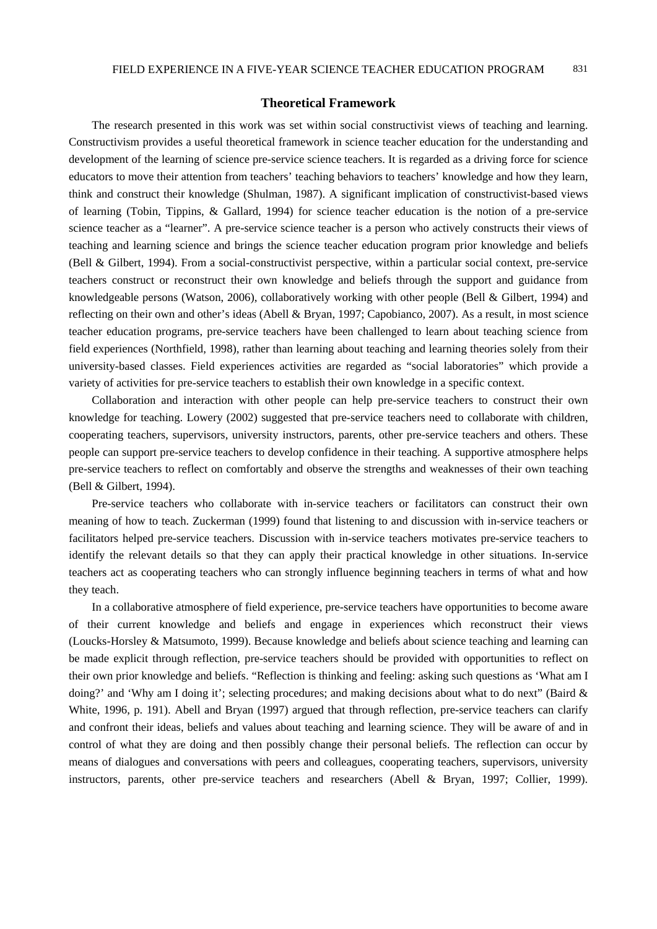## **Theoretical Framework**

The research presented in this work was set within social constructivist views of teaching and learning. Constructivism provides a useful theoretical framework in science teacher education for the understanding and development of the learning of science pre-service science teachers. It is regarded as a driving force for science educators to move their attention from teachers' teaching behaviors to teachers' knowledge and how they learn, think and construct their knowledge (Shulman, 1987). A significant implication of constructivist-based views of learning (Tobin, Tippins, & Gallard, 1994) for science teacher education is the notion of a pre-service science teacher as a "learner". A pre-service science teacher is a person who actively constructs their views of teaching and learning science and brings the science teacher education program prior knowledge and beliefs (Bell & Gilbert, 1994). From a social-constructivist perspective, within a particular social context, pre-service teachers construct or reconstruct their own knowledge and beliefs through the support and guidance from knowledgeable persons (Watson, 2006), collaboratively working with other people (Bell & Gilbert, 1994) and reflecting on their own and other's ideas (Abell & Bryan, 1997; Capobianco, 2007). As a result, in most science teacher education programs, pre-service teachers have been challenged to learn about teaching science from field experiences (Northfield, 1998), rather than learning about teaching and learning theories solely from their university-based classes. Field experiences activities are regarded as "social laboratories" which provide a variety of activities for pre-service teachers to establish their own knowledge in a specific context.

Collaboration and interaction with other people can help pre-service teachers to construct their own knowledge for teaching. Lowery (2002) suggested that pre-service teachers need to collaborate with children, cooperating teachers, supervisors, university instructors, parents, other pre-service teachers and others. These people can support pre-service teachers to develop confidence in their teaching. A supportive atmosphere helps pre-service teachers to reflect on comfortably and observe the strengths and weaknesses of their own teaching (Bell & Gilbert, 1994).

Pre-service teachers who collaborate with in-service teachers or facilitators can construct their own meaning of how to teach. Zuckerman (1999) found that listening to and discussion with in-service teachers or facilitators helped pre-service teachers. Discussion with in-service teachers motivates pre-service teachers to identify the relevant details so that they can apply their practical knowledge in other situations. In-service teachers act as cooperating teachers who can strongly influence beginning teachers in terms of what and how they teach.

In a collaborative atmosphere of field experience, pre-service teachers have opportunities to become aware of their current knowledge and beliefs and engage in experiences which reconstruct their views (Loucks-Horsley & Matsumoto, 1999). Because knowledge and beliefs about science teaching and learning can be made explicit through reflection, pre-service teachers should be provided with opportunities to reflect on their own prior knowledge and beliefs. "Reflection is thinking and feeling: asking such questions as 'What am I doing?' and 'Why am I doing it'; selecting procedures; and making decisions about what to do next" (Baird & White, 1996, p. 191). Abell and Bryan (1997) argued that through reflection, pre-service teachers can clarify and confront their ideas, beliefs and values about teaching and learning science. They will be aware of and in control of what they are doing and then possibly change their personal beliefs. The reflection can occur by means of dialogues and conversations with peers and colleagues, cooperating teachers, supervisors, university instructors, parents, other pre-service teachers and researchers (Abell & Bryan, 1997; Collier, 1999).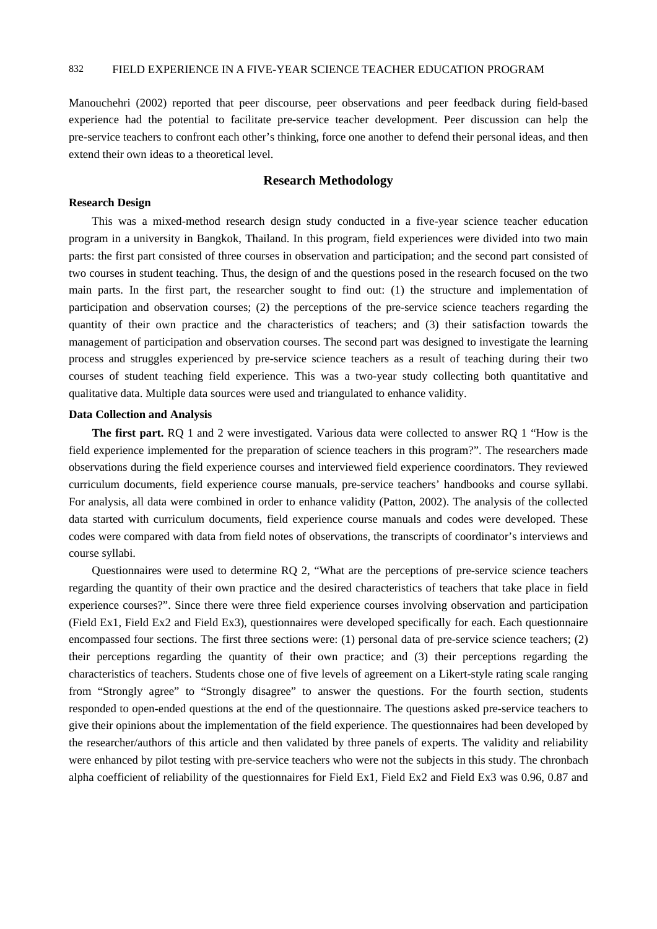Manouchehri (2002) reported that peer discourse, peer observations and peer feedback during field-based experience had the potential to facilitate pre-service teacher development. Peer discussion can help the pre-service teachers to confront each other's thinking, force one another to defend their personal ideas, and then extend their own ideas to a theoretical level.

## **Research Methodology**

#### **Research Design**

This was a mixed-method research design study conducted in a five-year science teacher education program in a university in Bangkok, Thailand. In this program, field experiences were divided into two main parts: the first part consisted of three courses in observation and participation; and the second part consisted of two courses in student teaching. Thus, the design of and the questions posed in the research focused on the two main parts. In the first part, the researcher sought to find out: (1) the structure and implementation of participation and observation courses; (2) the perceptions of the pre-service science teachers regarding the quantity of their own practice and the characteristics of teachers; and (3) their satisfaction towards the management of participation and observation courses. The second part was designed to investigate the learning process and struggles experienced by pre-service science teachers as a result of teaching during their two courses of student teaching field experience. This was a two-year study collecting both quantitative and qualitative data. Multiple data sources were used and triangulated to enhance validity.

#### **Data Collection and Analysis**

**The first part.** RQ 1 and 2 were investigated. Various data were collected to answer RQ 1 "How is the field experience implemented for the preparation of science teachers in this program?". The researchers made observations during the field experience courses and interviewed field experience coordinators. They reviewed curriculum documents, field experience course manuals, pre-service teachers' handbooks and course syllabi. For analysis, all data were combined in order to enhance validity (Patton, 2002). The analysis of the collected data started with curriculum documents, field experience course manuals and codes were developed. These codes were compared with data from field notes of observations, the transcripts of coordinator's interviews and course syllabi.

Questionnaires were used to determine RQ 2, "What are the perceptions of pre-service science teachers regarding the quantity of their own practice and the desired characteristics of teachers that take place in field experience courses?". Since there were three field experience courses involving observation and participation (Field Ex1, Field Ex2 and Field Ex3), questionnaires were developed specifically for each. Each questionnaire encompassed four sections. The first three sections were: (1) personal data of pre-service science teachers; (2) their perceptions regarding the quantity of their own practice; and (3) their perceptions regarding the characteristics of teachers. Students chose one of five levels of agreement on a Likert-style rating scale ranging from "Strongly agree" to "Strongly disagree" to answer the questions. For the fourth section, students responded to open-ended questions at the end of the questionnaire. The questions asked pre-service teachers to give their opinions about the implementation of the field experience. The questionnaires had been developed by the researcher/authors of this article and then validated by three panels of experts. The validity and reliability were enhanced by pilot testing with pre-service teachers who were not the subjects in this study. The chronbach alpha coefficient of reliability of the questionnaires for Field Ex1, Field Ex2 and Field Ex3 was 0.96, 0.87 and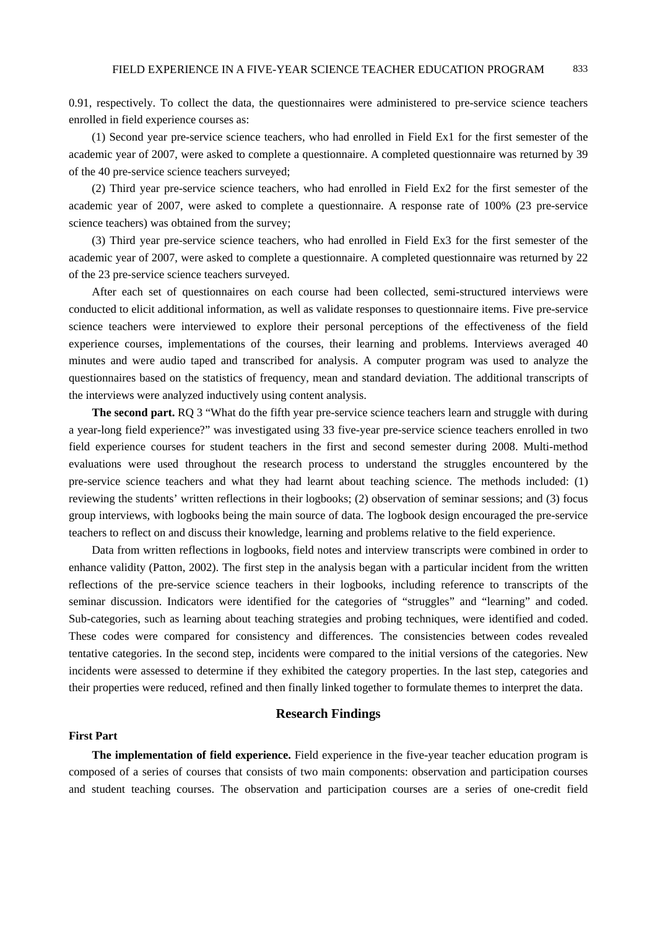0.91, respectively. To collect the data, the questionnaires were administered to pre-service science teachers enrolled in field experience courses as:

(1) Second year pre-service science teachers, who had enrolled in Field Ex1 for the first semester of the academic year of 2007, were asked to complete a questionnaire. A completed questionnaire was returned by 39 of the 40 pre-service science teachers surveyed;

(2) Third year pre-service science teachers, who had enrolled in Field Ex2 for the first semester of the academic year of 2007, were asked to complete a questionnaire. A response rate of 100% (23 pre-service science teachers) was obtained from the survey;

(3) Third year pre-service science teachers, who had enrolled in Field Ex3 for the first semester of the academic year of 2007, were asked to complete a questionnaire. A completed questionnaire was returned by 22 of the 23 pre-service science teachers surveyed.

After each set of questionnaires on each course had been collected, semi-structured interviews were conducted to elicit additional information, as well as validate responses to questionnaire items. Five pre-service science teachers were interviewed to explore their personal perceptions of the effectiveness of the field experience courses, implementations of the courses, their learning and problems. Interviews averaged 40 minutes and were audio taped and transcribed for analysis. A computer program was used to analyze the questionnaires based on the statistics of frequency, mean and standard deviation. The additional transcripts of the interviews were analyzed inductively using content analysis.

**The second part.** RQ 3 "What do the fifth year pre-service science teachers learn and struggle with during a year-long field experience?" was investigated using 33 five-year pre-service science teachers enrolled in two field experience courses for student teachers in the first and second semester during 2008. Multi-method evaluations were used throughout the research process to understand the struggles encountered by the pre-service science teachers and what they had learnt about teaching science. The methods included: (1) reviewing the students' written reflections in their logbooks; (2) observation of seminar sessions; and (3) focus group interviews, with logbooks being the main source of data. The logbook design encouraged the pre-service teachers to reflect on and discuss their knowledge, learning and problems relative to the field experience.

Data from written reflections in logbooks, field notes and interview transcripts were combined in order to enhance validity (Patton, 2002). The first step in the analysis began with a particular incident from the written reflections of the pre-service science teachers in their logbooks, including reference to transcripts of the seminar discussion. Indicators were identified for the categories of "struggles" and "learning" and coded. Sub-categories, such as learning about teaching strategies and probing techniques, were identified and coded. These codes were compared for consistency and differences. The consistencies between codes revealed tentative categories. In the second step, incidents were compared to the initial versions of the categories. New incidents were assessed to determine if they exhibited the category properties. In the last step, categories and their properties were reduced, refined and then finally linked together to formulate themes to interpret the data.

## **Research Findings**

#### **First Part**

**The implementation of field experience.** Field experience in the five-year teacher education program is composed of a series of courses that consists of two main components: observation and participation courses and student teaching courses. The observation and participation courses are a series of one-credit field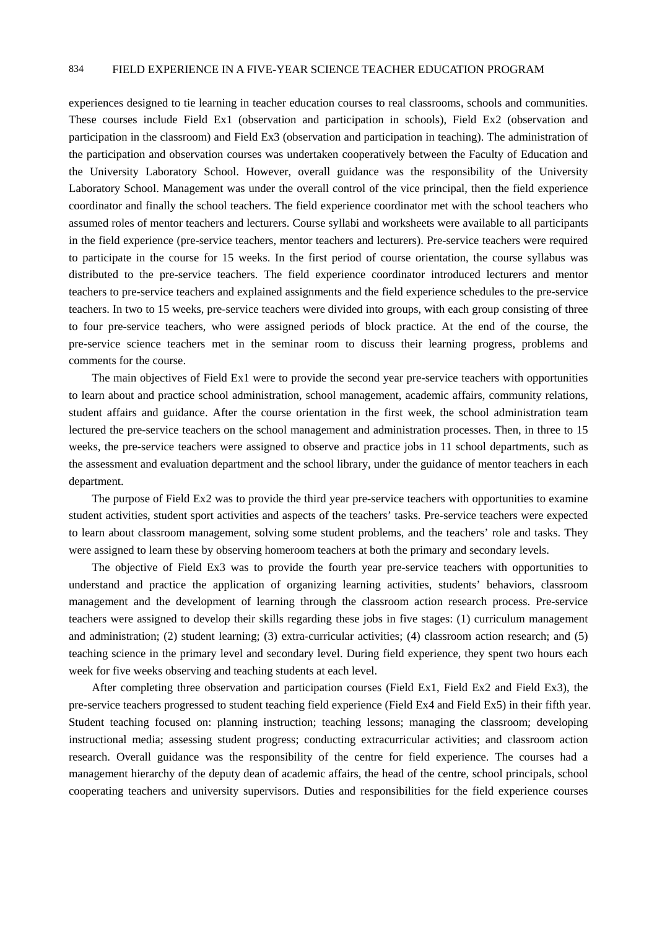experiences designed to tie learning in teacher education courses to real classrooms, schools and communities. These courses include Field Ex1 (observation and participation in schools), Field Ex2 (observation and participation in the classroom) and Field Ex3 (observation and participation in teaching). The administration of the participation and observation courses was undertaken cooperatively between the Faculty of Education and the University Laboratory School. However, overall guidance was the responsibility of the University Laboratory School. Management was under the overall control of the vice principal, then the field experience coordinator and finally the school teachers. The field experience coordinator met with the school teachers who assumed roles of mentor teachers and lecturers. Course syllabi and worksheets were available to all participants in the field experience (pre-service teachers, mentor teachers and lecturers). Pre-service teachers were required to participate in the course for 15 weeks. In the first period of course orientation, the course syllabus was distributed to the pre-service teachers. The field experience coordinator introduced lecturers and mentor teachers to pre-service teachers and explained assignments and the field experience schedules to the pre-service teachers. In two to 15 weeks, pre-service teachers were divided into groups, with each group consisting of three to four pre-service teachers, who were assigned periods of block practice. At the end of the course, the pre-service science teachers met in the seminar room to discuss their learning progress, problems and comments for the course.

The main objectives of Field Ex1 were to provide the second year pre-service teachers with opportunities to learn about and practice school administration, school management, academic affairs, community relations, student affairs and guidance. After the course orientation in the first week, the school administration team lectured the pre-service teachers on the school management and administration processes. Then, in three to 15 weeks, the pre-service teachers were assigned to observe and practice jobs in 11 school departments, such as the assessment and evaluation department and the school library, under the guidance of mentor teachers in each department.

The purpose of Field Ex2 was to provide the third year pre-service teachers with opportunities to examine student activities, student sport activities and aspects of the teachers' tasks. Pre-service teachers were expected to learn about classroom management, solving some student problems, and the teachers' role and tasks. They were assigned to learn these by observing homeroom teachers at both the primary and secondary levels.

The objective of Field Ex3 was to provide the fourth year pre-service teachers with opportunities to understand and practice the application of organizing learning activities, students' behaviors, classroom management and the development of learning through the classroom action research process. Pre-service teachers were assigned to develop their skills regarding these jobs in five stages: (1) curriculum management and administration; (2) student learning; (3) extra-curricular activities; (4) classroom action research; and (5) teaching science in the primary level and secondary level. During field experience, they spent two hours each week for five weeks observing and teaching students at each level.

After completing three observation and participation courses (Field Ex1, Field Ex2 and Field Ex3), the pre-service teachers progressed to student teaching field experience (Field Ex4 and Field Ex5) in their fifth year. Student teaching focused on: planning instruction; teaching lessons; managing the classroom; developing instructional media; assessing student progress; conducting extracurricular activities; and classroom action research. Overall guidance was the responsibility of the centre for field experience. The courses had a management hierarchy of the deputy dean of academic affairs, the head of the centre, school principals, school cooperating teachers and university supervisors. Duties and responsibilities for the field experience courses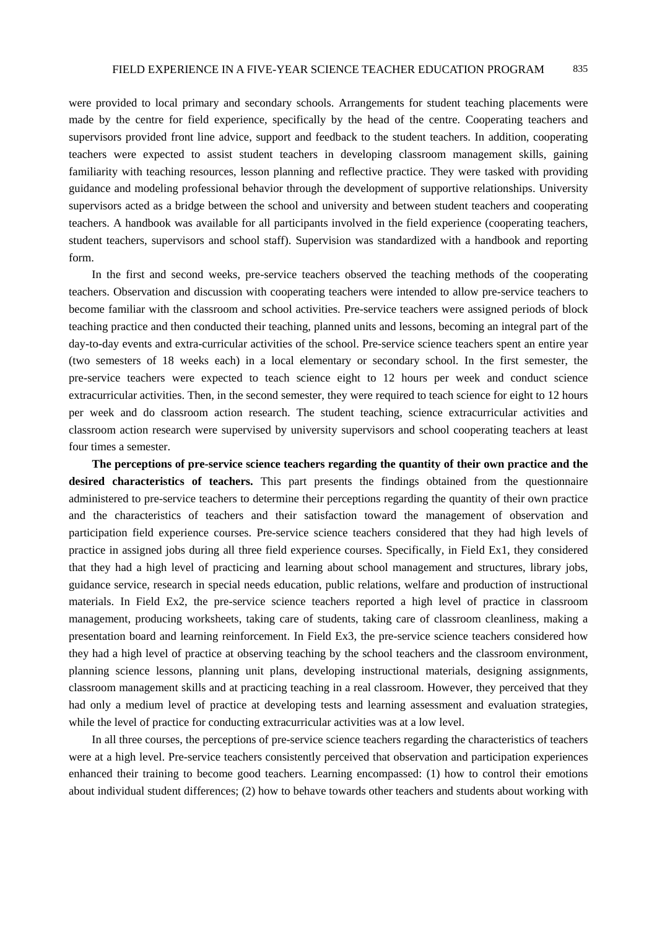were provided to local primary and secondary schools. Arrangements for student teaching placements were made by the centre for field experience, specifically by the head of the centre. Cooperating teachers and supervisors provided front line advice, support and feedback to the student teachers. In addition, cooperating teachers were expected to assist student teachers in developing classroom management skills, gaining familiarity with teaching resources, lesson planning and reflective practice. They were tasked with providing guidance and modeling professional behavior through the development of supportive relationships. University supervisors acted as a bridge between the school and university and between student teachers and cooperating teachers. A handbook was available for all participants involved in the field experience (cooperating teachers, student teachers, supervisors and school staff). Supervision was standardized with a handbook and reporting form.

In the first and second weeks, pre-service teachers observed the teaching methods of the cooperating teachers. Observation and discussion with cooperating teachers were intended to allow pre-service teachers to become familiar with the classroom and school activities. Pre-service teachers were assigned periods of block teaching practice and then conducted their teaching, planned units and lessons, becoming an integral part of the day-to-day events and extra-curricular activities of the school. Pre-service science teachers spent an entire year (two semesters of 18 weeks each) in a local elementary or secondary school. In the first semester, the pre-service teachers were expected to teach science eight to 12 hours per week and conduct science extracurricular activities. Then, in the second semester, they were required to teach science for eight to 12 hours per week and do classroom action research. The student teaching, science extracurricular activities and classroom action research were supervised by university supervisors and school cooperating teachers at least four times a semester.

**The perceptions of pre-service science teachers regarding the quantity of their own practice and the desired characteristics of teachers.** This part presents the findings obtained from the questionnaire administered to pre-service teachers to determine their perceptions regarding the quantity of their own practice and the characteristics of teachers and their satisfaction toward the management of observation and participation field experience courses. Pre-service science teachers considered that they had high levels of practice in assigned jobs during all three field experience courses. Specifically, in Field Ex1, they considered that they had a high level of practicing and learning about school management and structures, library jobs, guidance service, research in special needs education, public relations, welfare and production of instructional materials. In Field Ex2, the pre-service science teachers reported a high level of practice in classroom management, producing worksheets, taking care of students, taking care of classroom cleanliness, making a presentation board and learning reinforcement. In Field Ex3, the pre-service science teachers considered how they had a high level of practice at observing teaching by the school teachers and the classroom environment, planning science lessons, planning unit plans, developing instructional materials, designing assignments, classroom management skills and at practicing teaching in a real classroom. However, they perceived that they had only a medium level of practice at developing tests and learning assessment and evaluation strategies, while the level of practice for conducting extracurricular activities was at a low level.

In all three courses, the perceptions of pre-service science teachers regarding the characteristics of teachers were at a high level. Pre-service teachers consistently perceived that observation and participation experiences enhanced their training to become good teachers. Learning encompassed: (1) how to control their emotions about individual student differences; (2) how to behave towards other teachers and students about working with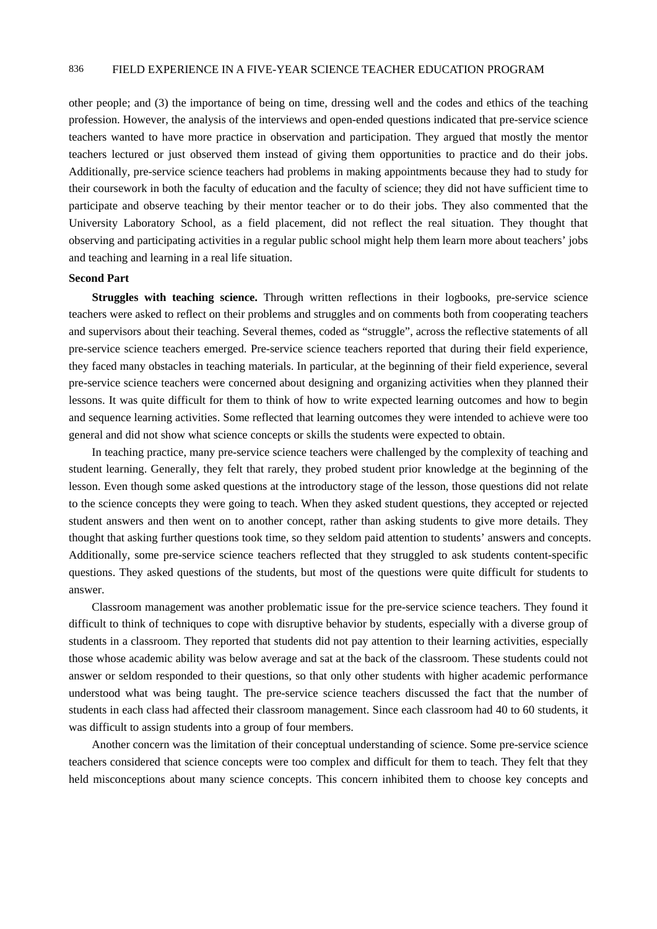other people; and (3) the importance of being on time, dressing well and the codes and ethics of the teaching profession. However, the analysis of the interviews and open-ended questions indicated that pre-service science teachers wanted to have more practice in observation and participation. They argued that mostly the mentor teachers lectured or just observed them instead of giving them opportunities to practice and do their jobs. Additionally, pre-service science teachers had problems in making appointments because they had to study for their coursework in both the faculty of education and the faculty of science; they did not have sufficient time to participate and observe teaching by their mentor teacher or to do their jobs. They also commented that the University Laboratory School, as a field placement, did not reflect the real situation. They thought that observing and participating activities in a regular public school might help them learn more about teachers' jobs and teaching and learning in a real life situation.

#### **Second Part**

**Struggles with teaching science.** Through written reflections in their logbooks, pre-service science teachers were asked to reflect on their problems and struggles and on comments both from cooperating teachers and supervisors about their teaching. Several themes, coded as "struggle", across the reflective statements of all pre-service science teachers emerged. Pre-service science teachers reported that during their field experience, they faced many obstacles in teaching materials. In particular, at the beginning of their field experience, several pre-service science teachers were concerned about designing and organizing activities when they planned their lessons. It was quite difficult for them to think of how to write expected learning outcomes and how to begin and sequence learning activities. Some reflected that learning outcomes they were intended to achieve were too general and did not show what science concepts or skills the students were expected to obtain.

In teaching practice, many pre-service science teachers were challenged by the complexity of teaching and student learning. Generally, they felt that rarely, they probed student prior knowledge at the beginning of the lesson. Even though some asked questions at the introductory stage of the lesson, those questions did not relate to the science concepts they were going to teach. When they asked student questions, they accepted or rejected student answers and then went on to another concept, rather than asking students to give more details. They thought that asking further questions took time, so they seldom paid attention to students' answers and concepts. Additionally, some pre-service science teachers reflected that they struggled to ask students content-specific questions. They asked questions of the students, but most of the questions were quite difficult for students to answer.

Classroom management was another problematic issue for the pre-service science teachers. They found it difficult to think of techniques to cope with disruptive behavior by students, especially with a diverse group of students in a classroom. They reported that students did not pay attention to their learning activities, especially those whose academic ability was below average and sat at the back of the classroom. These students could not answer or seldom responded to their questions, so that only other students with higher academic performance understood what was being taught. The pre-service science teachers discussed the fact that the number of students in each class had affected their classroom management. Since each classroom had 40 to 60 students, it was difficult to assign students into a group of four members.

Another concern was the limitation of their conceptual understanding of science. Some pre-service science teachers considered that science concepts were too complex and difficult for them to teach. They felt that they held misconceptions about many science concepts. This concern inhibited them to choose key concepts and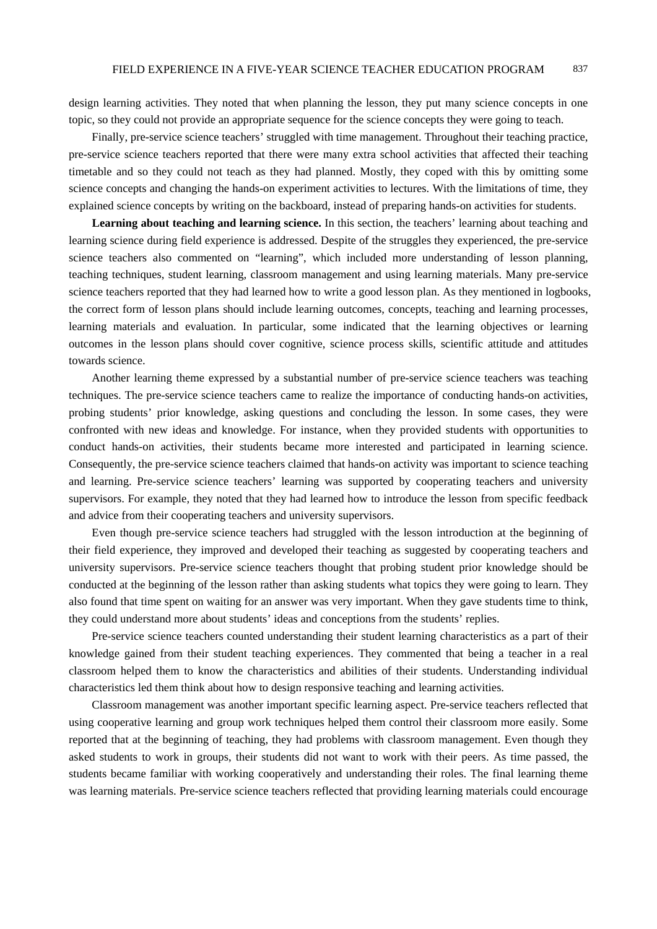design learning activities. They noted that when planning the lesson, they put many science concepts in one topic, so they could not provide an appropriate sequence for the science concepts they were going to teach.

Finally, pre-service science teachers' struggled with time management. Throughout their teaching practice, pre-service science teachers reported that there were many extra school activities that affected their teaching timetable and so they could not teach as they had planned. Mostly, they coped with this by omitting some science concepts and changing the hands-on experiment activities to lectures. With the limitations of time, they explained science concepts by writing on the backboard, instead of preparing hands-on activities for students.

**Learning about teaching and learning science.** In this section, the teachers' learning about teaching and learning science during field experience is addressed. Despite of the struggles they experienced, the pre-service science teachers also commented on "learning", which included more understanding of lesson planning, teaching techniques, student learning, classroom management and using learning materials. Many pre-service science teachers reported that they had learned how to write a good lesson plan. As they mentioned in logbooks, the correct form of lesson plans should include learning outcomes, concepts, teaching and learning processes, learning materials and evaluation. In particular, some indicated that the learning objectives or learning outcomes in the lesson plans should cover cognitive, science process skills, scientific attitude and attitudes towards science.

Another learning theme expressed by a substantial number of pre-service science teachers was teaching techniques. The pre-service science teachers came to realize the importance of conducting hands-on activities, probing students' prior knowledge, asking questions and concluding the lesson. In some cases, they were confronted with new ideas and knowledge. For instance, when they provided students with opportunities to conduct hands-on activities, their students became more interested and participated in learning science. Consequently, the pre-service science teachers claimed that hands-on activity was important to science teaching and learning. Pre-service science teachers' learning was supported by cooperating teachers and university supervisors. For example, they noted that they had learned how to introduce the lesson from specific feedback and advice from their cooperating teachers and university supervisors.

Even though pre-service science teachers had struggled with the lesson introduction at the beginning of their field experience, they improved and developed their teaching as suggested by cooperating teachers and university supervisors. Pre-service science teachers thought that probing student prior knowledge should be conducted at the beginning of the lesson rather than asking students what topics they were going to learn. They also found that time spent on waiting for an answer was very important. When they gave students time to think, they could understand more about students' ideas and conceptions from the students' replies.

Pre-service science teachers counted understanding their student learning characteristics as a part of their knowledge gained from their student teaching experiences. They commented that being a teacher in a real classroom helped them to know the characteristics and abilities of their students. Understanding individual characteristics led them think about how to design responsive teaching and learning activities.

Classroom management was another important specific learning aspect. Pre-service teachers reflected that using cooperative learning and group work techniques helped them control their classroom more easily. Some reported that at the beginning of teaching, they had problems with classroom management. Even though they asked students to work in groups, their students did not want to work with their peers. As time passed, the students became familiar with working cooperatively and understanding their roles. The final learning theme was learning materials. Pre-service science teachers reflected that providing learning materials could encourage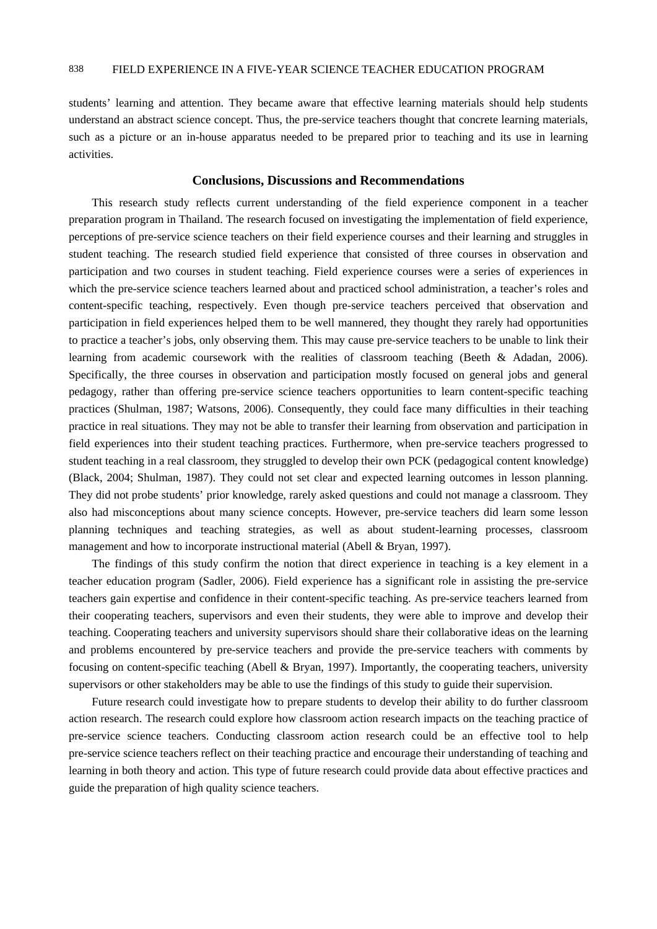students' learning and attention. They became aware that effective learning materials should help students understand an abstract science concept. Thus, the pre-service teachers thought that concrete learning materials, such as a picture or an in-house apparatus needed to be prepared prior to teaching and its use in learning activities.

### **Conclusions, Discussions and Recommendations**

This research study reflects current understanding of the field experience component in a teacher preparation program in Thailand. The research focused on investigating the implementation of field experience, perceptions of pre-service science teachers on their field experience courses and their learning and struggles in student teaching. The research studied field experience that consisted of three courses in observation and participation and two courses in student teaching. Field experience courses were a series of experiences in which the pre-service science teachers learned about and practiced school administration, a teacher's roles and content-specific teaching, respectively. Even though pre-service teachers perceived that observation and participation in field experiences helped them to be well mannered, they thought they rarely had opportunities to practice a teacher's jobs, only observing them. This may cause pre-service teachers to be unable to link their learning from academic coursework with the realities of classroom teaching (Beeth & Adadan, 2006). Specifically, the three courses in observation and participation mostly focused on general jobs and general pedagogy, rather than offering pre-service science teachers opportunities to learn content-specific teaching practices (Shulman, 1987; Watsons, 2006). Consequently, they could face many difficulties in their teaching practice in real situations. They may not be able to transfer their learning from observation and participation in field experiences into their student teaching practices. Furthermore, when pre-service teachers progressed to student teaching in a real classroom, they struggled to develop their own PCK (pedagogical content knowledge) (Black, 2004; Shulman, 1987). They could not set clear and expected learning outcomes in lesson planning. They did not probe students' prior knowledge, rarely asked questions and could not manage a classroom. They also had misconceptions about many science concepts. However, pre-service teachers did learn some lesson planning techniques and teaching strategies, as well as about student-learning processes, classroom management and how to incorporate instructional material (Abell & Bryan, 1997).

The findings of this study confirm the notion that direct experience in teaching is a key element in a teacher education program (Sadler, 2006). Field experience has a significant role in assisting the pre-service teachers gain expertise and confidence in their content-specific teaching. As pre-service teachers learned from their cooperating teachers, supervisors and even their students, they were able to improve and develop their teaching. Cooperating teachers and university supervisors should share their collaborative ideas on the learning and problems encountered by pre-service teachers and provide the pre-service teachers with comments by focusing on content-specific teaching (Abell & Bryan, 1997). Importantly, the cooperating teachers, university supervisors or other stakeholders may be able to use the findings of this study to guide their supervision.

Future research could investigate how to prepare students to develop their ability to do further classroom action research. The research could explore how classroom action research impacts on the teaching practice of pre-service science teachers. Conducting classroom action research could be an effective tool to help pre-service science teachers reflect on their teaching practice and encourage their understanding of teaching and learning in both theory and action. This type of future research could provide data about effective practices and guide the preparation of high quality science teachers.